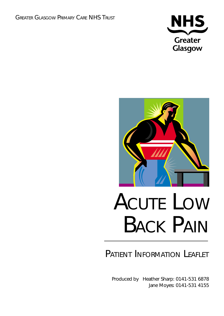



# PATIENT INFORMATION LEAFLET

Produced by Heather Sharp: 0141-531 6878 Jane Moyes: 0141-531 4155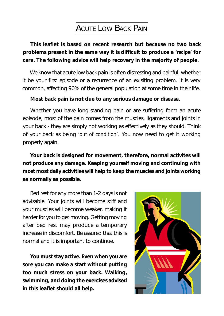## ACUTE LOW BACK PAIN

**This leaflet is based on recent research but because no two back problems present in the same way it is difficult to produce a** *'recipe'* **for care. The following advice will help recovery in the majority of people.**

We know that acute low back pain is often distressing and painful, whether it be your first episode or a recurrence of an exisiting problem. It is very common, affecting 90% of the general population at some time in their life.

#### **Most back pain is not due to any serious damage or disease.**

Whether you have long-standing pain or are suffering form an acute episode, most of the pain comes from the muscles, ligaments and joints in your back - they are simply not working as effectively as they should. Think of your back as being *'out of condition'*. You now need to get it working properly again.

**Your back is designed for movement, therefore, normal activites will not produce any damage. Keeping yourself moving and continuing with most most daily activities will help to keep the muscles and joints working as normally as possible.**

Bed rest for any more than 1-2 days is not advisable. Your joints will become stiff and your muscles will become weaker, making it harder for you to get moving. Getting moving after bed rest may produce a temporary increase in discomfort. Be assured that this is normal and it is important to continue.

**You must stay active. Even when you are sore you can make a start without putting too much stress on your back. Walking, swimming, and doing the exercises advised in this leaflet should all help.**

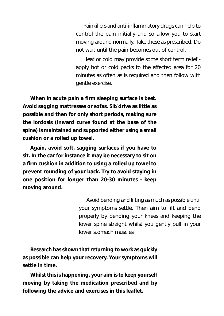Painkillers and anti-inflammatory drugs can help to control the pain initially and so allow you to start moving around normally. Take these as prescribed. Do not wait until the pain becomes out of control.

Heat or cold may provide some short term relief apply hot or cold packs to the affected area for 20 minutes as often as is required and then follow with gentle exercise.

**When in acute pain a firm sleeping surface is best. Avoid sagging mattresses or sofas. Sit/drive as little as possible and then for only short periods, making sure the lordosis (inward curve found at the base of the spine) is maintained and supported either using a small cushion or a rolled up towel.**

**Again, avoid soft, sagging surfaces if you have to sit. In the car for instance it may be necessary to sit on a firm cushion in addition to using a rolled up towel to prevent rounding of your back. Try to avoid staying in one position for longer than 20-30 minutes - keep moving around.**

> Avoid bending and lifting as much as possible until your symptoms settle. Then aim to lift and bend properly by bending your knees and keeping the lower spine straight whilst you gently pull in your lower stomach muscles.

**Research has shown that returning to work as quickly as possible can help your recovery. Your symptoms will settle in time.**

**Whilst this is happening, your aim is to keep yourself moving by taking the medication prescribed and by following the advice and exercises in this leaflet.**